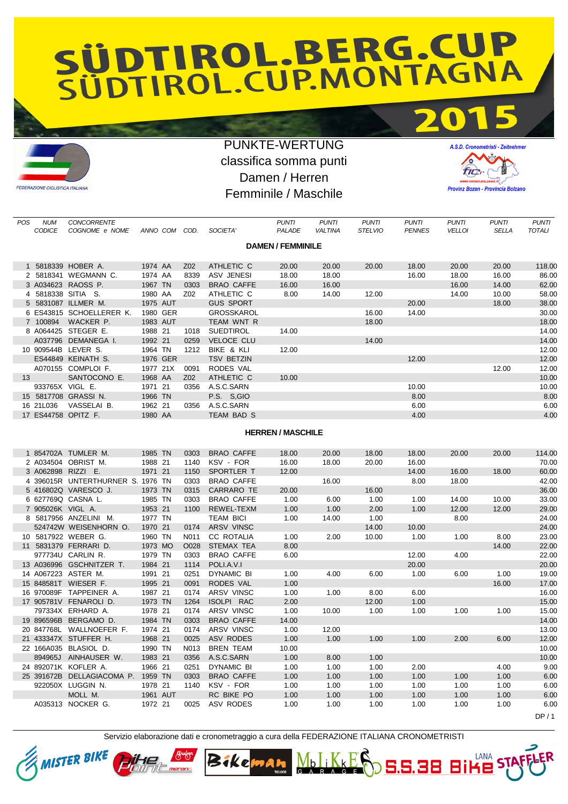## SÜDTIROL.BERG.CUP



## PUNKTE-WERTUNG classifica somma punti Damen / Herren Femminile / Maschile



LANA

**S.S.38 Bi** 

|                                        |                                                                                                                                                                                                                                                                                                                                                                  |                               |                                      |                                               |                                  |                                                                                                 |                       |                                |                                         | <b>PUNTI</b>                            |
|----------------------------------------|------------------------------------------------------------------------------------------------------------------------------------------------------------------------------------------------------------------------------------------------------------------------------------------------------------------------------------------------------------------|-------------------------------|--------------------------------------|-----------------------------------------------|----------------------------------|-------------------------------------------------------------------------------------------------|-----------------------|--------------------------------|-----------------------------------------|-----------------------------------------|
| COGNOME e NOME                         |                                                                                                                                                                                                                                                                                                                                                                  |                               | SOCIETA'                             | <b>PALADE</b>                                 | <b>VALTINA</b>                   | <b>STELVIO</b>                                                                                  | <b>PENNES</b>         | <b>VELLOI</b>                  | <b>SELLA</b>                            | <b>TOTALI</b>                           |
|                                        |                                                                                                                                                                                                                                                                                                                                                                  |                               |                                      |                                               |                                  |                                                                                                 |                       |                                |                                         |                                         |
|                                        |                                                                                                                                                                                                                                                                                                                                                                  |                               |                                      |                                               |                                  |                                                                                                 |                       |                                |                                         |                                         |
|                                        |                                                                                                                                                                                                                                                                                                                                                                  |                               |                                      |                                               |                                  |                                                                                                 |                       |                                |                                         |                                         |
|                                        |                                                                                                                                                                                                                                                                                                                                                                  |                               |                                      |                                               |                                  |                                                                                                 |                       |                                |                                         | 118.00                                  |
|                                        |                                                                                                                                                                                                                                                                                                                                                                  |                               |                                      |                                               |                                  |                                                                                                 |                       |                                |                                         | 86.00                                   |
|                                        |                                                                                                                                                                                                                                                                                                                                                                  |                               |                                      |                                               |                                  |                                                                                                 |                       |                                |                                         | 62.00                                   |
|                                        | 1980 AA                                                                                                                                                                                                                                                                                                                                                          | Z02                           | ATHLETIC C                           | 8.00                                          | 14.00                            | 12.00                                                                                           |                       | 14.00                          | 10.00                                   | 58.00                                   |
|                                        | 1975 AUT                                                                                                                                                                                                                                                                                                                                                         |                               | <b>GUS SPORT</b>                     |                                               |                                  |                                                                                                 | 20.00                 |                                | 18.00                                   | 38.00                                   |
|                                        | 1980 GER                                                                                                                                                                                                                                                                                                                                                         |                               | <b>GROSSKAROL</b>                    |                                               |                                  | 16.00                                                                                           | 14.00                 |                                |                                         | 30.00                                   |
| WACKER P.                              | 1983 AUT                                                                                                                                                                                                                                                                                                                                                         |                               | TEAM WNT R                           |                                               |                                  | 18.00                                                                                           |                       |                                |                                         | 18.00                                   |
|                                        | 1988 21                                                                                                                                                                                                                                                                                                                                                          | 1018                          | <b>SUEDTIROL</b>                     | 14.00                                         |                                  |                                                                                                 |                       |                                |                                         | 14.00                                   |
|                                        | 1992 21                                                                                                                                                                                                                                                                                                                                                          | 0259                          | <b>VELOCE CLU</b>                    |                                               |                                  | 14.00                                                                                           |                       |                                |                                         | 14.00                                   |
|                                        | 1964 TN                                                                                                                                                                                                                                                                                                                                                          | 1212                          | BIKE & KLI                           | 12.00                                         |                                  |                                                                                                 |                       |                                |                                         | 12.00                                   |
|                                        | 1976 GER                                                                                                                                                                                                                                                                                                                                                         |                               | <b>TSV BETZIN</b>                    |                                               |                                  |                                                                                                 | 12.00                 |                                |                                         | 12.00                                   |
|                                        | 1977 21X                                                                                                                                                                                                                                                                                                                                                         | 0091                          | RODES VAL                            |                                               |                                  |                                                                                                 |                       |                                | 12.00                                   | 12.00                                   |
| SANTOCONO E.                           | 1968 AA                                                                                                                                                                                                                                                                                                                                                          | Z02                           | ATHLETIC C                           | 10.00                                         |                                  |                                                                                                 |                       |                                |                                         | 10.00                                   |
|                                        | 1971 21                                                                                                                                                                                                                                                                                                                                                          | 0356                          | A.S.C.SARN                           |                                               |                                  |                                                                                                 | 10.00                 |                                |                                         | 10.00                                   |
|                                        | 1966 TN                                                                                                                                                                                                                                                                                                                                                          |                               | P.S. S.GIO                           |                                               |                                  |                                                                                                 | 8.00                  |                                |                                         | 8.00                                    |
| VASSELAI B.                            | 1962 21                                                                                                                                                                                                                                                                                                                                                          | 0356                          | A.S.C.SARN                           |                                               |                                  |                                                                                                 | 6.00                  |                                |                                         | 6.00                                    |
|                                        | 1980 AA                                                                                                                                                                                                                                                                                                                                                          |                               | TEAM BAD S                           |                                               |                                  |                                                                                                 | 4.00                  |                                |                                         | 4.00                                    |
|                                        |                                                                                                                                                                                                                                                                                                                                                                  |                               |                                      |                                               |                                  |                                                                                                 |                       |                                |                                         |                                         |
|                                        |                                                                                                                                                                                                                                                                                                                                                                  |                               |                                      |                                               |                                  |                                                                                                 |                       |                                |                                         |                                         |
| <b>CODICE</b><br>7 100894<br>16 21L036 | <b>CONCORRENTE</b><br><b>NUM</b><br>1 5818339 HOBER A.<br>2 5818341 WEGMANN C.<br>3 A034623 RAOSS P.<br>4 5818338 SITIA S.<br>5 5831087 ILLMER M.<br>6 ES43815 SCHOELLERER K.<br>8 A064425 STEGER E.<br>A037796 DEMANEGA I.<br>10 909544B LEVER S.<br>ES44849 KEINATH S.<br>A070155 COMPLOI F.<br>933765X VIGL E.<br>15 5817708 GRASSI N.<br>17 ES44758 OPITZ F. | 1974 AA<br>1974 AA<br>1967 TN | ANNO COM COD.<br>Z02<br>8339<br>0303 | ATHLETIC C<br>ASV JENESI<br><b>BRAO CAFFE</b> | PUNTI<br>20.00<br>18.00<br>16.00 | <b>PUNTI</b><br><b>DAMEN / FEMMINILE</b><br>20.00<br>18.00<br>16.00<br><b>HERREN / MASCHILE</b> | <b>PUNTI</b><br>20.00 | <b>PUNTI</b><br>18.00<br>16.00 | <b>PUNTI</b><br>20.00<br>18.00<br>16.00 | <b>PUNTI</b><br>20.00<br>16.00<br>14.00 |

|                   | 1 854702A TUMLER M.               | 1985 TN  | 0303              | <b>BRAO CAFFE</b> | 18.00 | 20.00 | 18.00 | 18.00 | 20.00 | 20.00 | 114.00 |
|-------------------|-----------------------------------|----------|-------------------|-------------------|-------|-------|-------|-------|-------|-------|--------|
|                   | 2 A034504 OBRIST M.               | 1988 21  | 1140              | KSV - FOR         | 16.00 | 18.00 | 20.00 | 16.00 |       |       | 70.00  |
|                   | 3 A062898 RIZZI E.                | 1971 21  | 1150              | SPORTLER T        | 12.00 |       |       | 14.00 | 16.00 | 18.00 | 60.00  |
|                   | 4 396015R UNTERTHURNER S. 1976 TN |          | 0303              | <b>BRAO CAFFE</b> |       | 16.00 |       | 8.00  | 18.00 |       | 42.00  |
|                   | 5 416802Q VARESCO J.              | 1973 TN  | 0315              | <b>CARRARO TE</b> | 20.00 |       | 16.00 |       |       |       | 36.00  |
|                   | 6 627769Q CASNA L.                | 1985 TN  | 0303              | <b>BRAO CAFFE</b> | 1.00  | 6.00  | 1.00  | 1.00  | 14.00 | 10.00 | 33.00  |
| 7 905026K VIGL A. |                                   | 1953 21  | 1100              | REWEL-TEXM        | 1.00  | 1.00  | 2.00  | 1.00  | 12.00 | 12.00 | 29.00  |
|                   | 8 5817956 ANZELINI M.             | 1977 TN  |                   | <b>TEAM BICI</b>  | 1.00  | 14.00 | 1.00  |       | 8.00  |       | 24.00  |
|                   | 524742W WEISENHORN O.             | 1970 21  | 0174              | <b>ARSV VINSC</b> |       |       | 14.00 | 10.00 |       |       | 24.00  |
|                   | 10 5817922 WEBER G.               | 1960 TN  | N <sub>0</sub> 11 | <b>CC ROTALIA</b> | 1.00  | 2.00  | 10.00 | 1.00  | 1.00  | 8.00  | 23.00  |
|                   | 11 5831379 FERRARI D.             | 1973 MO  | O028              | STEMAX TEA        | 8.00  |       |       |       |       | 14.00 | 22.00  |
|                   | 977734U CARLIN R.                 | 1979 TN  | 0303              | <b>BRAO CAFFE</b> | 6.00  |       |       | 12.00 | 4.00  |       | 22.00  |
|                   | 13 A036996 GSCHNITZER T.          | 1984 21  | 1114              | POLI.A.V.I        |       |       |       | 20.00 |       |       | 20.00  |
|                   | 14 A067223 ASTER M.               | 1991 21  | 0251              | <b>DYNAMIC BI</b> | 1.00  | 4.00  | 6.00  | 1.00  | 6.00  | 1.00  | 19.00  |
|                   | 15 848581T WIESER F.              | 1995 21  | 0091              | <b>RODES VAL</b>  | 1.00  |       |       |       |       | 16.00 | 17.00  |
|                   | 16 970089F TAPPEINER A.           | 1987 21  | 0174              | ARSV VINSC        | 1.00  | 1.00  | 8.00  | 6.00  |       |       | 16.00  |
|                   | 17 905781V FENAROLI D.            | 1973 TN  | 1264              | <b>ISOLPI RAC</b> | 2.00  |       | 12.00 | 1.00  |       |       | 15.00  |
|                   | 797334X ERHARD A.                 | 1978 21  | 0174              | ARSV VINSC        | 1.00  | 10.00 | 1.00  | 1.00  | 1.00  | 1.00  | 15.00  |
|                   | 19 896596B BERGAMO D.             | 1984 TN  | 0303              | <b>BRAO CAFFE</b> | 14.00 |       |       |       |       |       | 14.00  |
|                   | 20 847768L WALLNOEFER F.          | 1974 21  | 0174              | <b>ARSV VINSC</b> | 1.00  | 12.00 |       |       |       |       | 13.00  |
|                   | 21 433347X STUFFER H.             | 1968 21  | 0025              | ASV RODES         | 1.00  | 1.00  | 1.00  | 1.00  | 2.00  | 6.00  | 12.00  |
|                   | 22 166A035 BLASIOL D.             | 1990 TN  | N013              | <b>BREN TEAM</b>  | 10.00 |       |       |       |       |       | 10.00  |
| 894965J           | AINHAUSER W.                      | 1983 21  | 0356              | A.S.C.SARN        | 1.00  | 8.00  | 1.00  |       |       |       | 10.00  |
|                   | 24 892071K KOFLER A.              | 1966 21  | 0251              | <b>DYNAMIC BI</b> | 1.00  | 1.00  | 1.00  | 2.00  |       | 4.00  | 9.00   |
|                   | 25 391672B DELLAGIACOMA P.        | 1959 TN  | 0303              | <b>BRAO CAFFE</b> | 1.00  | 1.00  | 1.00  | 1.00  | 1.00  | 1.00  | 6.00   |
|                   | 922050X LUGGIN N.                 | 1978 21  | 1140              | KSV - FOR         | 1.00  | 1.00  | 1.00  | 1.00  | 1.00  | 1.00  | 6.00   |
|                   | MOLL M.                           | 1961 AUT |                   | RC BIKE PO        | 1.00  | 1.00  | 1.00  | 1.00  | 1.00  | 1.00  | 6.00   |
|                   | A035313 NOCKER G.                 | 1972 21  | 0025              | ASV RODES         | 1.00  | 1.00  | 1.00  | 1.00  | 1.00  | 1.00  | 6.00   |
|                   |                                   |          |                   |                   |       |       |       |       |       |       | DP/1   |

Servizio elaborazione dati e cronometraggio a cura della FEDERAZIONE ITALIANA CRONOMETRISTI

MbLIKKES



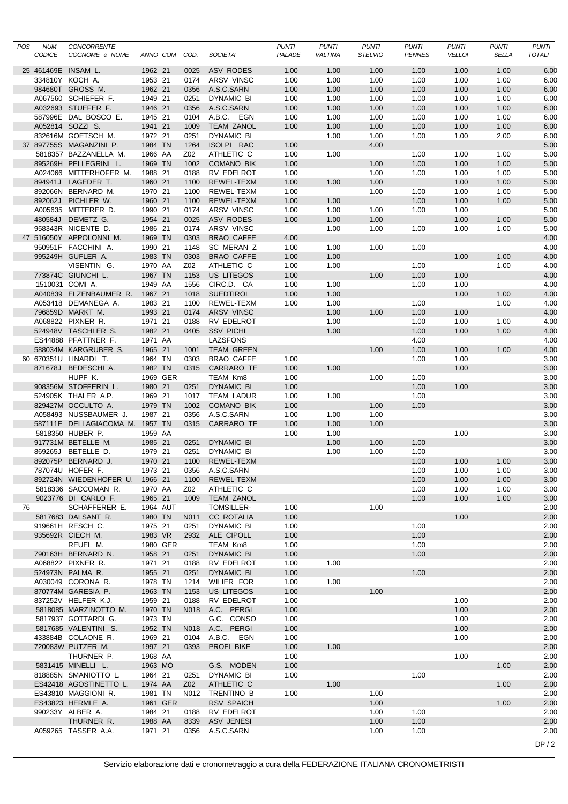| POS | <b>NUM</b><br>CODICE | CONCORRENTE<br>COGNOME e NOME                            |                    | ANNO COM COD. |              | SOCIETA'                              | <b>PUNTI</b><br>PALADE | <b>PUNTI</b><br><b>VALTINA</b> | <b>PUNTI</b><br><b>STELVIO</b> | <b>PUNTI</b><br><b>PENNES</b> | <b>PUNTI</b><br><b>VELLOI</b> | <b>PUNTI</b><br><b>SELLA</b> | <b>PUNTI</b><br>TOTALI |
|-----|----------------------|----------------------------------------------------------|--------------------|---------------|--------------|---------------------------------------|------------------------|--------------------------------|--------------------------------|-------------------------------|-------------------------------|------------------------------|------------------------|
|     |                      | 25 461469E INSAM L.                                      | 1962 21            |               | 0025         | <b>ASV RODES</b>                      | 1.00                   | 1.00                           | 1.00                           | 1.00                          | 1.00                          | 1.00                         | 6.00                   |
|     |                      | 334810Y KOCH A.                                          | 1953 21            |               | 0174         | ARSV VINSC                            | 1.00                   | 1.00                           | 1.00                           | 1.00                          | 1.00                          | 1.00                         | 6.00                   |
|     |                      | 984680T GROSS M.                                         | 1962 21            |               | 0356         | A.S.C.SARN                            | 1.00                   | 1.00                           | 1.00                           | 1.00                          | 1.00                          | 1.00                         | 6.00                   |
|     |                      | A067560 SCHIEFER F.                                      | 1949 21            |               | 0251         | DYNAMIC BI                            | 1.00                   | 1.00                           | 1.00                           | 1.00                          | 1.00                          | 1.00                         | 6.00                   |
|     |                      | A032693 STUEFER F.                                       | 1946 21            |               | 0356         | A.S.C.SARN                            | 1.00                   | 1.00                           | 1.00                           | 1.00                          | 1.00                          | 1.00                         | 6.00                   |
|     |                      | 587996E DAL BOSCO E.                                     | 1945 21            |               | 0104         | A.B.C. EGN                            | 1.00                   | 1.00                           | 1.00                           | 1.00                          | 1.00                          | 1.00                         | 6.00                   |
|     |                      | A052814 SOZZI S.                                         | 1941 21            |               | 1009         | <b>TEAM ZANOL</b>                     | 1.00                   | 1.00                           | 1.00                           | 1.00                          | 1.00                          | 1.00                         | 6.00                   |
|     |                      | 832616M GOETSCH M.                                       | 1972 21            |               | 0251         | DYNAMIC BI                            |                        | 1.00                           | 1.00                           | 1.00                          | 1.00                          | 2.00                         | 6.00                   |
|     |                      | 37 897755S MAGANZINI P.                                  | 1984 TN            |               | 1264         | ISOLPI RAC                            | 1.00                   |                                | 4.00                           |                               |                               |                              | 5.00                   |
|     |                      | 5818357 BAZZANELLA M.                                    | 1966 AA            |               | Z02          | ATHLETIC C                            | 1.00                   | 1.00                           |                                | 1.00                          | 1.00                          | 1.00                         | 5.00                   |
|     |                      | 895269H PELLEGRINI L.                                    | 1969 TN            |               | 1002         | <b>COMANO BIK</b>                     | 1.00                   |                                | 1.00                           | 1.00                          | 1.00                          | 1.00                         | 5.00                   |
|     |                      | A024066 MITTERHOFER M.<br>894941J LAGEDER T.             | 1988 21<br>1960 21 |               | 0188         | <b>RV EDELROT</b><br>REWEL-TEXM       | 1.00                   |                                | 1.00<br>1.00                   | 1.00                          | 1.00<br>1.00                  | 1.00<br>1.00                 | 5.00<br>5.00           |
|     |                      | 892066N BERNARD M.                                       | 1970 21            |               | 1100<br>1100 | <b>REWEL-TEXM</b>                     | 1.00<br>1.00           | 1.00                           | 1.00                           | 1.00                          | 1.00                          | 1.00                         | 5.00                   |
|     |                      | 892062J PICHLER W.                                       | 1960 21            |               | 1100         | REWEL-TEXM                            | 1.00                   | 1.00                           |                                | 1.00                          | 1.00                          | 1.00                         | 5.00                   |
|     |                      | A005635 MITTERER D.                                      | 1990 21            |               | 0174         | ARSV VINSC                            | 1.00                   | 1.00                           | 1.00                           | 1.00                          | 1.00                          |                              | 5.00                   |
|     |                      | 480584J DEMETZ G.                                        | 1954 21            |               | 0025         | ASV RODES                             | 1.00                   | 1.00                           | 1.00                           |                               | 1.00                          | 1.00                         | 5.00                   |
|     |                      | 958343R NICENTE D.                                       | 1986 21            |               | 0174         | ARSV VINSC                            |                        | 1.00                           | 1.00                           | 1.00                          | 1.00                          | 1.00                         | 5.00                   |
|     |                      | 47 516050Y APPOLONNI M.                                  | 1969 TN            |               | 0303         | <b>BRAO CAFFE</b>                     | 4.00                   |                                |                                |                               |                               |                              | 4.00                   |
|     |                      | 950951F FACCHINI A.                                      | 1990 21            |               | 1148         | SC MERAN Z                            | 1.00                   | 1.00                           | 1.00                           | 1.00                          |                               |                              | 4.00                   |
|     |                      | 995249H GUFLER A.                                        | 1983 TN            |               | 0303         | <b>BRAO CAFFE</b>                     | 1.00                   | 1.00                           |                                |                               | 1.00                          | 1.00                         | 4.00                   |
|     |                      | VISENTIN G.                                              | 1970 AA            |               | Z02          | ATHLETIC C                            | 1.00                   | 1.00                           |                                | 1.00                          |                               | 1.00                         | 4.00                   |
|     |                      | 773874C GIUNCHI L.                                       | 1967 TN            |               | 1153         | <b>US LITEGOS</b>                     | 1.00                   |                                | 1.00                           | 1.00                          | 1.00                          |                              | 4.00                   |
|     |                      | 1510031 COMI A.                                          | 1949 AA            |               | 1556         | CIRC.D. CA                            | 1.00                   | 1.00                           |                                | 1.00                          | 1.00                          |                              | 4.00                   |
|     |                      | A040839 ELZENBAUMER R.                                   | 1967 21            |               | 1018         | <b>SUEDTIROL</b><br><b>REWEL-TEXM</b> | 1.00                   | 1.00                           |                                |                               | 1.00                          | 1.00                         | 4.00<br>4.00           |
|     |                      | A053418 DEMANEGA A.<br>796859D MARKT M.                  | 1983 21<br>1993 21 |               | 1100<br>0174 | ARSV VINSC                            | 1.00                   | 1.00<br>1.00                   | 1.00                           | 1.00<br>1.00                  | 1.00                          | 1.00                         | 4.00                   |
|     |                      | A068822 PIXNER R.                                        | 1971 21            |               | 0188         | RV EDELROT                            |                        | 1.00                           |                                | 1.00                          | 1.00                          | 1.00                         | 4.00                   |
|     |                      | 524948V TASCHLER S.                                      | 1982 21            |               | 0405         | <b>SSV PICHL</b>                      |                        | 1.00                           |                                | 1.00                          | 1.00                          | 1.00                         | 4.00                   |
|     |                      | ES44888 PFATTNER F.                                      | 1971 AA            |               |              | <b>LAZSFONS</b>                       |                        |                                |                                | 4.00                          |                               |                              | 4.00                   |
|     |                      | 588034M KARGRUBER S.                                     | 1965 21            |               | 1001         | <b>TEAM GREEN</b>                     |                        |                                | 1.00                           | 1.00                          | 1.00                          | 1.00                         | 4.00                   |
|     |                      | 60 670351U LINARDI T.                                    | 1964 TN            |               | 0303         | <b>BRAO CAFFE</b>                     | 1.00                   |                                |                                | 1.00                          | 1.00                          |                              | 3.00                   |
|     |                      | 871678J BEDESCHI A.                                      | 1982 TN            |               | 0315         | CARRARO TE                            | 1.00                   | 1.00                           |                                |                               | 1.00                          |                              | 3.00                   |
|     |                      | HUPF K.                                                  |                    | 1969 GER      |              | TEAM Km8                              | 1.00                   |                                | 1.00                           | 1.00                          |                               |                              | 3.00                   |
|     |                      | 908356M STOFFERIN L.                                     | 1980 21            |               | 0251         | DYNAMIC BI                            | 1.00                   |                                |                                | 1.00                          | 1.00                          |                              | 3.00                   |
|     |                      | 524905K THALER A.P.                                      | 1969 21            |               | 1017         | <b>TEAM LADUR</b>                     | 1.00                   | 1.00                           |                                | 1.00                          |                               |                              | 3.00                   |
|     |                      | 829427M OCCULTO A.                                       | 1979 TN            |               | 1002         | <b>COMANO BIK</b>                     | 1.00                   |                                | 1.00                           | 1.00                          |                               |                              | 3.00                   |
|     |                      | A058493 NUSSBAUMER J.<br>587111E DELLAGIACOMA M. 1957 TN | 1987 21            |               | 0356         | A.S.C.SARN<br>CARRARO TE              | 1.00                   | 1.00                           | 1.00<br>1.00                   |                               |                               |                              | 3.00<br>3.00           |
|     |                      | 5818350 HUBER P.                                         | 1959 AA            |               | 0315         |                                       | 1.00<br>1.00           | 1.00<br>1.00                   |                                |                               | 1.00                          |                              | 3.00                   |
|     |                      | 917731M BETELLE M.                                       | 1985 21            |               | 0251         | DYNAMIC BI                            |                        | 1.00                           | 1.00                           | 1.00                          |                               |                              | 3.00                   |
|     |                      | 869265J BETELLE D.                                       | 1979 21            |               | 0251         | DYNAMIC BI                            |                        | 1.00                           | 1.00                           | 1.00                          |                               |                              | 3.00                   |
|     |                      | 892075P BERNARD J.                                       | 1970 21            |               | 1100         | REWEL-TEXM                            |                        |                                |                                | 1.00                          | 1.00                          | 1.00                         | 3.00                   |
|     |                      | 787074U HOFER F.                                         | 1973 21            |               |              | 0356 A.S.C.SARN                       |                        |                                |                                | 1.00                          | 1.00                          | 1.00                         | 3.00                   |
|     |                      | 892724N WIEDENHOFER U. 1966 21                           |                    |               | 1100         | REWEL-TEXM                            |                        |                                |                                | 1.00                          | 1.00                          | 1.00                         | 3.00                   |
|     |                      | 5818336 SACCOMAN R.                                      | 1970 AA            |               | Z02          | ATHLETIC C                            |                        |                                |                                | 1.00                          | 1.00                          | 1.00                         | 3.00                   |
|     |                      | 9023776 DI CARLO F.                                      | 1965 21            |               | 1009         | <b>TEAM ZANOL</b>                     |                        |                                |                                | 1.00                          | 1.00                          | 1.00                         | 3.00                   |
| 76  |                      | SCHAFFERER E.                                            |                    | 1964 AUT      |              | TOMSILLER-                            | 1.00                   |                                | 1.00                           |                               |                               |                              | 2.00                   |
|     |                      | 5817683 DALSANT R.<br>919661H RESCH C.                   | 1980 TN            |               | N011         | <b>CC ROTALIA</b>                     | 1.00                   |                                |                                |                               | 1.00                          |                              | 2.00                   |
|     |                      | 935692R CIECH M.                                         | 1975 21<br>1983 VR |               | 0251<br>2932 | DYNAMIC BI<br>ALE CIPOLL              | 1.00<br>1.00           |                                |                                | 1.00<br>1.00                  |                               |                              | 2.00<br>2.00           |
|     |                      | REUEL M.                                                 |                    | 1980 GER      |              | TEAM Km8                              | 1.00                   |                                |                                | 1.00                          |                               |                              | 2.00                   |
|     |                      | 790163H BERNARD N.                                       | 1958 21            |               | 0251         | <b>DYNAMIC BI</b>                     | 1.00                   |                                |                                | 1.00                          |                               |                              | 2.00                   |
|     |                      | A068822 PIXNER R.                                        | 1971 21            |               | 0188         | RV EDELROT                            | 1.00                   | 1.00                           |                                |                               |                               |                              | 2.00                   |
|     |                      | 524973N PALMA R.                                         | 1955 21            |               | 0251         | DYNAMIC BI                            | 1.00                   |                                |                                | 1.00                          |                               |                              | 2.00                   |
|     |                      | A030049 CORONA R.                                        | 1978 TN            |               | 1214         | WILIER FOR                            | 1.00                   | 1.00                           |                                |                               |                               |                              | 2.00                   |
|     |                      | 870774M GARESIA P.                                       | 1963 TN            |               | 1153         | US LITEGOS                            | 1.00                   |                                | 1.00                           |                               |                               |                              | 2.00                   |
|     |                      | 837252V HELFER K.J.                                      | 1959 21            |               | 0188         | RV EDELROT                            | 1.00                   |                                |                                |                               | 1.00                          |                              | 2.00                   |
|     |                      | 5818085 MARZINOTTO M.                                    | 1970 TN            |               | N018         | A.C. PERGI                            | 1.00                   |                                |                                |                               | 1.00                          |                              | 2.00                   |
|     |                      | 5817937 GOTTARDI G.                                      | 1973 TN            |               |              | G.C. CONSO                            | 1.00                   |                                |                                |                               | 1.00                          |                              | 2.00                   |
|     |                      | 5817685 VALENTINI S.                                     | 1952 TN            |               | N018         | A.C. PERGI                            | 1.00                   |                                |                                |                               | 1.00                          |                              | 2.00                   |
|     |                      | 433884B COLAONE R.<br>720083W PUTZER M.                  | 1969 21<br>1997 21 |               | 0104<br>0393 | A.B.C. EGN<br>PROFI BIKE              | 1.00<br>1.00           | 1.00                           |                                |                               | 1.00                          |                              | 2.00<br>2.00           |
|     |                      | THURNER P.                                               | 1968 AA            |               |              |                                       | 1.00                   |                                |                                |                               | 1.00                          |                              | 2.00                   |
|     |                      | 5831415 MINELLI L.                                       | 1963 MO            |               |              | G.S. MODEN                            | 1.00                   |                                |                                |                               |                               | 1.00                         | 2.00                   |
|     |                      | 818885N SMANIOTTO L.                                     | 1964 21            |               | 0251         | <b>DYNAMIC BI</b>                     | 1.00                   |                                |                                | 1.00                          |                               |                              | 2.00                   |
|     |                      | ES42418 AGOSTINETTO L.                                   | 1974 AA            |               | Z02          | ATHLETIC C                            |                        | 1.00                           |                                |                               |                               | 1.00                         | 2.00                   |
|     |                      | ES43810 MAGGIONI R.                                      | 1981 TN            |               |              | N012 TRENTINO B                       | 1.00                   |                                | 1.00                           |                               |                               |                              | 2.00                   |
|     |                      | ES43823 HERMLE A.                                        |                    | 1961 GER      |              | <b>RSV SPAICH</b>                     |                        |                                | 1.00                           |                               |                               | 1.00                         | 2.00                   |
|     |                      | 990233Y ALBER A.                                         | 1984 21            |               | 0188         | RV EDELROT                            |                        |                                | 1.00                           | 1.00                          |                               |                              | 2.00                   |
|     |                      | THURNER R.                                               | 1988 AA            |               | 8339         | ASV JENESI                            |                        |                                | 1.00                           | 1.00                          |                               |                              | 2.00                   |
|     |                      | A059265 TASSER A.A.                                      | 1971 21            |               | 0356         | A.S.C.SARN                            |                        |                                | 1.00                           | 1.00                          |                               |                              | 2.00                   |
|     |                      |                                                          |                    |               |              |                                       |                        |                                |                                |                               |                               |                              | DP/2                   |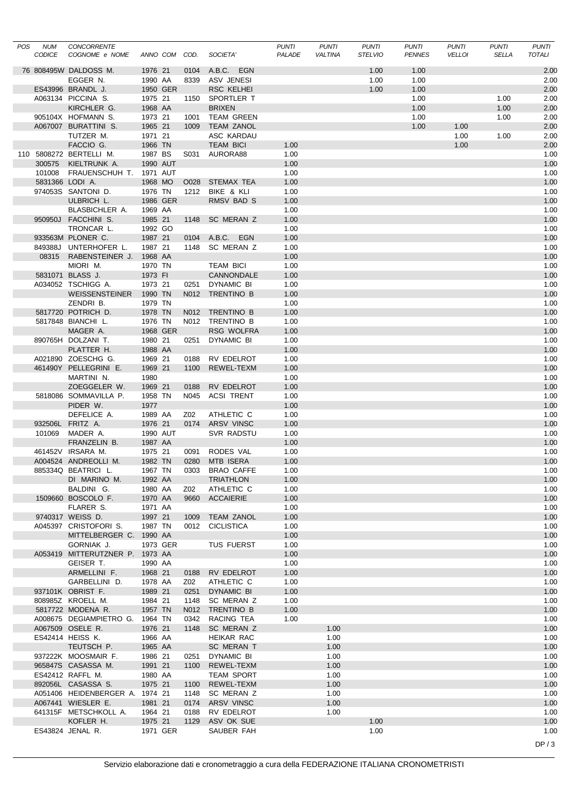| POS NUM<br><b>CODICE</b> | CONCORRENTE<br>COGNOME e NOME               |                    | ANNO COM COD. |              | SOCIETA'                             | <b>PUNTI</b><br>PALADE | <b>PUNTI</b><br><b>VALTINA</b> | <b>PUNTI</b><br><b>STELVIO</b> | <b>PUNTI</b><br><b>PENNES</b> | <b>PUNTI</b><br><b>VELLOI</b> | <b>PUNTI</b><br><b>SELLA</b> | <b>PUNTI</b><br>TOTALI |
|--------------------------|---------------------------------------------|--------------------|---------------|--------------|--------------------------------------|------------------------|--------------------------------|--------------------------------|-------------------------------|-------------------------------|------------------------------|------------------------|
|                          | 76 808495W DALDOSS M.                       | 1976 21            |               | 0104         | A.B.C. EGN                           |                        |                                | 1.00                           | 1.00                          |                               |                              | 2.00                   |
|                          | EGGER N.                                    | 1990 AA            |               | 8339         | ASV JENESI                           |                        |                                | 1.00                           | 1.00                          |                               |                              | 2.00                   |
|                          | ES43996 BRANDL J.                           |                    | 1950 GER      |              | <b>RSC KELHEI</b>                    |                        |                                | 1.00                           | 1.00                          |                               |                              | 2.00                   |
|                          | A063134 PICCINA S.                          | 1975 21            |               | 1150         | SPORTLER T                           |                        |                                |                                | 1.00                          |                               | 1.00                         | 2.00                   |
|                          | KIRCHLER G.                                 | 1968 AA            |               |              | <b>BRIXEN</b>                        |                        |                                |                                | 1.00                          |                               | 1.00                         | 2.00                   |
|                          | 905104X HOFMANN S.                          | 1973 21            |               | 1001         | <b>TEAM GREEN</b>                    |                        |                                |                                | 1.00                          |                               | 1.00                         | 2.00                   |
|                          | A067007 BURATTINI S.                        | 1965 21            |               | 1009         | <b>TEAM ZANOL</b>                    |                        |                                |                                | 1.00                          | 1.00                          |                              | 2.00                   |
|                          | TUTZER M.                                   | 1971 21            |               |              | ASC KARDAU                           |                        |                                |                                |                               | 1.00                          | 1.00                         | 2.00                   |
|                          | FACCIO G.<br>110 5808272 BERTELLI M.        | 1966 TN<br>1987 BS |               | S031         | <b>TEAM BICI</b><br>AURORA88         | 1.00<br>1.00           |                                |                                |                               | 1.00                          |                              | 2.00<br>1.00           |
| 300575                   | KIELTRUNK A.                                |                    | 1990 AUT      |              |                                      | 1.00                   |                                |                                |                               |                               |                              | 1.00                   |
|                          | 101008 FRAUENSCHUH T. 1971 AUT              |                    |               |              |                                      | 1.00                   |                                |                                |                               |                               |                              | 1.00                   |
|                          | 5831366 LODI A.                             | 1968 MO            |               | O028         | STEMAX TEA                           | 1.00                   |                                |                                |                               |                               |                              | 1.00                   |
|                          | 974053S SANTONI D.                          | 1976 TN            |               | 1212         | BIKE & KLI                           | 1.00                   |                                |                                |                               |                               |                              | 1.00                   |
|                          | ULBRICH L.                                  |                    | 1986 GER      |              | RMSV BAD S                           | 1.00                   |                                |                                |                               |                               |                              | 1.00                   |
|                          | BLASBICHLER A.                              | 1969 AA            |               |              |                                      | 1.00                   |                                |                                |                               |                               |                              | 1.00                   |
|                          | 950950J FACCHINI S.                         | 1985 21            |               | 1148         | SC MERAN Z                           | 1.00                   |                                |                                |                               |                               |                              | 1.00                   |
|                          | TRONCAR L.                                  | 1992 GO            |               |              |                                      | 1.00                   |                                |                                |                               |                               |                              | 1.00                   |
|                          | 933563M PLONER C.<br>849388J UNTERHOFER L.  | 1987 21            |               | 0104         | A.B.C. EGN                           | 1.00                   |                                |                                |                               |                               |                              | 1.00<br>1.00           |
|                          | 08315 RABENSTEINER J. 1968 AA               | 1987 21            |               | 1148         | SC MERAN Z                           | 1.00<br>1.00           |                                |                                |                               |                               |                              | 1.00                   |
|                          | MIORI M.                                    | 1970 TN            |               |              | <b>TEAM BICI</b>                     | 1.00                   |                                |                                |                               |                               |                              | 1.00                   |
|                          | 5831071 BLASS J.                            | 1973 FI            |               |              | CANNONDALE                           | 1.00                   |                                |                                |                               |                               |                              | 1.00                   |
|                          | A034052 TSCHIGG A.                          | 1973 21            |               | 0251         | DYNAMIC BI                           | 1.00                   |                                |                                |                               |                               |                              | 1.00                   |
|                          | WEISSENSTEINER                              | 1990 TN            |               | N012         | TRENTINO B                           | 1.00                   |                                |                                |                               |                               |                              | 1.00                   |
|                          | ZENDRI B.                                   | 1979 TN            |               |              |                                      | 1.00                   |                                |                                |                               |                               |                              | 1.00                   |
|                          | 5817720 POTRICH D.                          | 1978 TN            |               | N012         | TRENTINO B                           | 1.00                   |                                |                                |                               |                               |                              | 1.00                   |
|                          | 5817848 BIANCHI L.                          | 1976 TN            |               |              | N012 TRENTINO B                      | 1.00                   |                                |                                |                               |                               |                              | 1.00                   |
|                          | MAGER A.                                    |                    | 1968 GER      |              | <b>RSG WOLFRA</b>                    | 1.00                   |                                |                                |                               |                               |                              | 1.00                   |
|                          | 890765H DOLZANI T.                          | 1980 21            |               | 0251         | DYNAMIC BI                           | 1.00                   |                                |                                |                               |                               |                              | 1.00                   |
|                          | PLATTER H.                                  | 1988 AA            |               |              |                                      | 1.00                   |                                |                                |                               |                               |                              | 1.00                   |
|                          | A021890 ZOESCHG G.                          | 1969 21            |               | 0188         | RV EDELROT                           | 1.00                   |                                |                                |                               |                               |                              | 1.00                   |
|                          | 461490Y PELLEGRINI E.<br>MARTINI N.         | 1969 21<br>1980    |               | 1100         | REWEL-TEXM                           | 1.00<br>1.00           |                                |                                |                               |                               |                              | 1.00<br>1.00           |
|                          | ZOEGGELER W.                                | 1969 21            |               | 0188         | RV EDELROT                           | 1.00                   |                                |                                |                               |                               |                              | 1.00                   |
|                          | 5818086 SOMMAVILLA P.                       | 1958 TN            |               | N045         | ACSI TRENT                           | 1.00                   |                                |                                |                               |                               |                              | 1.00                   |
|                          | PIDER W.                                    | 1977               |               |              |                                      | 1.00                   |                                |                                |                               |                               |                              | 1.00                   |
|                          | DEFELICE A.                                 | 1989 AA            |               | Z02          | ATHLETIC C                           | 1.00                   |                                |                                |                               |                               |                              | 1.00                   |
|                          | 932506L FRITZ A.                            | 1976 21            |               | 0174         | <b>ARSV VINSC</b>                    | 1.00                   |                                |                                |                               |                               |                              | 1.00                   |
| 101069                   | MADER A.                                    |                    | 1990 AUT      |              | SVR RADSTU                           | 1.00                   |                                |                                |                               |                               |                              | 1.00                   |
|                          | FRANZELIN B.                                | 1987 AA            |               |              |                                      | 1.00                   |                                |                                |                               |                               |                              | 1.00                   |
|                          | 461452V IRSARA M.                           | 1975 21            |               | 0091         | RODES VAL                            | 1.00                   |                                |                                |                               |                               |                              | 1.00                   |
|                          | A004524 ANDREOLLI M.                        | 1982 TN            |               | 0280         | MTB ISERA<br>1967 TN 0303 BRAO CAFFE | 1.00                   |                                |                                |                               |                               |                              | 1.00                   |
|                          | 885334Q BEATRICI L.<br>DI MARINO M.         | 1992 AA            |               |              | <b>TRIATHLON</b>                     | 1.00<br>1.00           |                                |                                |                               |                               |                              | 1.00<br>1.00           |
|                          | BALDINI G.                                  | 1980 AA            |               | Z02          | ATHLETIC C                           | 1.00                   |                                |                                |                               |                               |                              | 1.00                   |
|                          | 1509660 BOSCOLO F.                          | 1970 AA            |               |              | 9660 ACCAIERIE                       | 1.00                   |                                |                                |                               |                               |                              | 1.00                   |
|                          | FLARER S.                                   | 1971 AA            |               |              |                                      | 1.00                   |                                |                                |                               |                               |                              | 1.00                   |
|                          | 9740317 WEISS D.                            | 1997 21            |               | 1009         | <b>TEAM ZANOL</b>                    | 1.00                   |                                |                                |                               |                               |                              | 1.00                   |
|                          | A045397 CRISTOFORI S.                       | 1987 TN            |               |              | 0012 CICLISTICA                      | 1.00                   |                                |                                |                               |                               |                              | 1.00                   |
|                          | MITTELBERGER C.                             | 1990 AA            |               |              |                                      | 1.00                   |                                |                                |                               |                               |                              | 1.00                   |
|                          | GORNIAK J.                                  |                    | 1973 GER      |              | <b>TUS FUERST</b>                    | 1.00                   |                                |                                |                               |                               |                              | 1.00                   |
|                          | A053419 MITTERUTZNER P. 1973 AA             |                    |               |              |                                      | 1.00                   |                                |                                |                               |                               |                              | 1.00                   |
|                          | GEISER T.                                   | 1990 AA            |               |              |                                      | 1.00                   |                                |                                |                               |                               |                              | 1.00                   |
|                          | ARMELLINI F.                                | 1968 21            |               |              | 0188 RV EDELROT<br>ATHLETIC C        | 1.00                   |                                |                                |                               |                               |                              | 1.00                   |
|                          | GARBELLINI D.<br>937101K OBRIST F.          | 1978 AA<br>1989 21 |               | Z02<br>0251  | <b>DYNAMIC BI</b>                    | 1.00<br>1.00           |                                |                                |                               |                               |                              | 1.00<br>1.00           |
|                          | 808985Z KROELL M.                           | 1984 21            |               | 1148         | SC MERAN Z                           | 1.00                   |                                |                                |                               |                               |                              | 1.00                   |
|                          | 5817722 MODENA R.                           | 1957 TN            |               | N012         | TRENTINO B                           | 1.00                   |                                |                                |                               |                               |                              | 1.00                   |
|                          | A008675 DEGIAMPIETRO G. 1964 TN             |                    |               |              | 0342 RACING TEA                      | 1.00                   |                                |                                |                               |                               |                              | 1.00                   |
|                          | A067509 OSELE R.                            | 1976 21            |               | 1148         | SC MERAN Z                           |                        | 1.00                           |                                |                               |                               |                              | 1.00                   |
|                          | ES42414 HEISS K.                            | 1966 AA            |               |              | HEIKAR RAC                           |                        | 1.00                           |                                |                               |                               |                              | 1.00                   |
|                          | TEUTSCH P.                                  | 1965 AA            |               |              | SC MERAN T                           |                        | 1.00                           |                                |                               |                               |                              | 1.00                   |
|                          | 937222K MOOSMAIR F.                         | 1986 21            |               | 0251         | DYNAMIC BI                           |                        | 1.00                           |                                |                               |                               |                              | 1.00                   |
|                          | 965847S CASASSA M.                          | 1991 21            |               | 1100         | REWEL-TEXM                           |                        | 1.00                           |                                |                               |                               |                              | 1.00                   |
|                          | ES42412 RAFFL M.                            | 1980 AA            |               |              | <b>TEAM SPORT</b>                    |                        | 1.00                           |                                |                               |                               |                              | 1.00                   |
|                          | 892056L CASASSA S.                          | 1975 21            |               | 1100         | REWEL-TEXM                           |                        | 1.00                           |                                |                               |                               |                              | 1.00                   |
|                          | A051406 HEIDENBERGER A. 1974 21             |                    |               |              | 1148 SC MERAN Z                      |                        | 1.00                           |                                |                               |                               |                              | 1.00                   |
|                          | A067441 WIESLER E.<br>641315F METSCHKOLL A. | 1981 21<br>1964 21 |               | 0174<br>0188 | ARSV VINSC<br>RV EDELROT             |                        | 1.00<br>1.00                   |                                |                               |                               |                              | 1.00<br>1.00           |
|                          | KOFLER H.                                   | 1975 21            |               |              | 1129 ASV OK SUE                      |                        |                                | 1.00                           |                               |                               |                              | 1.00                   |
|                          | ES43824 JENAL R.                            |                    | 1971 GER      |              | SAUBER FAH                           |                        |                                | 1.00                           |                               |                               |                              | 1.00                   |
|                          |                                             |                    |               |              |                                      |                        |                                |                                |                               |                               |                              |                        |
|                          |                                             |                    |               |              |                                      |                        |                                |                                |                               |                               |                              | DP/3                   |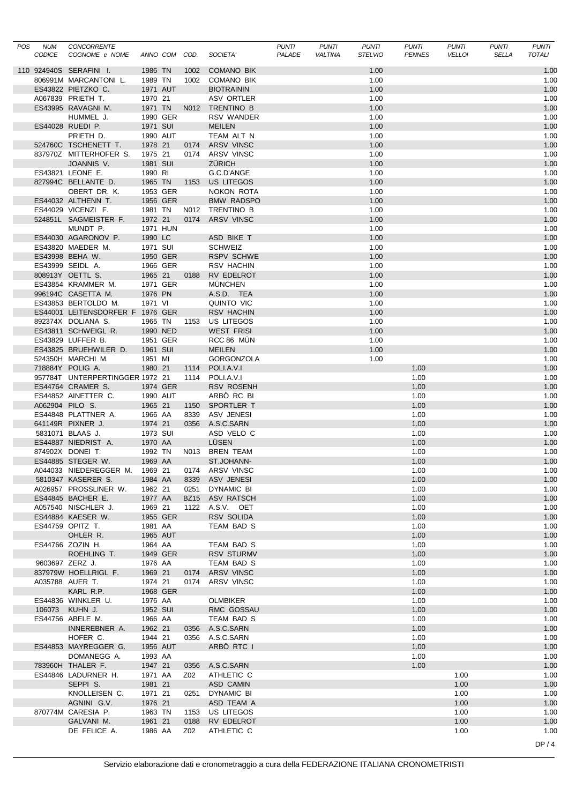| POS | NUM<br>CODICE   | CONCORRENTE<br>COGNOME e NOME                  |          | ANNO COM COD. |      | SOCIETA'          | <b>PUNTI</b><br>PALADE | <b>PUNTI</b><br><b>VALTINA</b> | <b>PUNTI</b><br><b>STELVIO</b> | <b>PUNTI</b><br><b>PENNES</b> | PUNTI<br><b>VELLOI</b> | <b>PUNTI</b><br><b>SELLA</b> | PUNTI<br>TOTALI |
|-----|-----------------|------------------------------------------------|----------|---------------|------|-------------------|------------------------|--------------------------------|--------------------------------|-------------------------------|------------------------|------------------------------|-----------------|
|     |                 | 110 924940S SERAFINI I.                        | 1986 TN  |               | 1002 | <b>COMANO BIK</b> |                        |                                | 1.00                           |                               |                        |                              | 1.00            |
|     |                 | 806991M MARCANTONI L.                          | 1989 TN  |               | 1002 | COMANO BIK        |                        |                                | 1.00                           |                               |                        |                              | 1.00            |
|     |                 | ES43822 PIETZKO C.                             | 1971 AUT |               |      | <b>BIOTRAININ</b> |                        |                                | 1.00                           |                               |                        |                              | 1.00            |
|     |                 | A067839 PRIETH T.                              | 1970 21  |               |      | ASV ORTLER        |                        |                                | 1.00                           |                               |                        |                              | 1.00            |
|     |                 | ES43995 RAVAGNI M.                             |          | 1971 TN       |      | N012 TRENTINO B   |                        |                                | 1.00                           |                               |                        |                              | 1.00            |
|     |                 | HUMMEL J.                                      | 1990 GER |               |      | RSV WANDER        |                        |                                | 1.00                           |                               |                        |                              | 1.00            |
|     |                 | ES44028 RUEDI P.                               | 1971 SUI |               |      | <b>MEILEN</b>     |                        |                                | 1.00                           |                               |                        |                              | 1.00            |
|     |                 | PRIETH D.                                      | 1990 AUT |               |      | TEAM ALT N        |                        |                                | 1.00                           |                               |                        |                              | 1.00            |
|     |                 | 524760C TSCHENETT T.                           | 1978 21  |               |      | 0174 ARSV VINSC   |                        |                                | 1.00                           |                               |                        |                              | 1.00            |
|     |                 | 837970Z MITTERHOFER S.                         | 1975 21  |               |      | 0174 ARSV VINSC   |                        |                                | 1.00                           |                               |                        |                              | 1.00            |
|     |                 | JOANNIS V.                                     | 1981 SUI |               |      | <b>ZÜRICH</b>     |                        |                                | 1.00                           |                               |                        |                              | 1.00            |
|     |                 | ES43821 LEONE E.                               | 1990 RI  |               |      | G.C.D'ANGE        |                        |                                | 1.00                           |                               |                        |                              | 1.00            |
|     |                 | 827994C BELLANTE D.                            | 1965 TN  |               |      | 1153 US LITEGOS   |                        |                                | 1.00                           |                               |                        |                              | 1.00            |
|     |                 | OBERT DR. K.                                   | 1953 GER |               |      | NOKON ROTA        |                        |                                | 1.00                           |                               |                        |                              | 1.00            |
|     |                 | ES44032 ALTHENN T.                             | 1956 GER |               |      | <b>BMW RADSPO</b> |                        |                                | 1.00                           |                               |                        |                              | 1.00            |
|     |                 | ES44029 VICENZI F.                             | 1981 TN  |               |      | N012 TRENTINO B   |                        |                                | 1.00                           |                               |                        |                              | 1.00            |
|     |                 | 524851L SAGMEISTER F.                          | 1972 21  |               | 0174 | <b>ARSV VINSC</b> |                        |                                | 1.00                           |                               |                        |                              | 1.00            |
|     |                 | MUNDT P.                                       | 1971 HUN |               |      |                   |                        |                                | 1.00                           |                               |                        |                              | 1.00            |
|     |                 | ES44030 AGARONOV P.                            | 1990 LC  |               |      | ASD BIKE T        |                        |                                | 1.00                           |                               |                        |                              | 1.00            |
|     |                 | ES43820 MAEDER M.                              | 1971 SUI |               |      | <b>SCHWEIZ</b>    |                        |                                | 1.00                           |                               |                        |                              | 1.00            |
|     |                 | ES43998 BEHA W.                                | 1950 GER |               |      | <b>RSPV SCHWE</b> |                        |                                | 1.00                           |                               |                        |                              | 1.00            |
|     |                 | ES43999 SEIDL A.                               | 1966 GER |               |      | RSV HACHIN        |                        |                                | 1.00                           |                               |                        |                              | 1.00            |
|     |                 | 808913Y OETTL S.                               | 1965 21  |               |      | 0188 RV EDELROT   |                        |                                | 1.00                           |                               |                        |                              | 1.00            |
|     |                 | ES43854 KRAMMER M.                             | 1971 GER |               |      | <b>MUNCHEN</b>    |                        |                                | 1.00                           |                               |                        |                              | 1.00            |
|     |                 | 996194C CASETTA M.                             | 1976 PN  |               |      | A.S.D. TEA        |                        |                                | 1.00                           |                               |                        |                              | 1.00            |
|     |                 | ES43853 BERTOLDO M.                            | 1971 VI  |               |      | QUINTO VIC        |                        |                                | 1.00                           |                               |                        |                              | 1.00            |
|     |                 | ES44001 LEITENSDORFER F 1976 GER               |          |               |      | <b>RSV HACHIN</b> |                        |                                | 1.00                           |                               |                        |                              | 1.00            |
|     |                 | 892374X DOLIANA S.                             | 1965 TN  |               |      | 1153 US LITEGOS   |                        |                                | 1.00                           |                               |                        |                              | 1.00            |
|     |                 | ES43811 SCHWEIGL R.                            | 1990 NED |               |      | <b>WEST FRISI</b> |                        |                                | 1.00                           |                               |                        |                              | 1.00            |
|     |                 | ES43829 LUFFER B.                              | 1951 GER |               |      | RCC 86 MUN        |                        |                                | 1.00                           |                               |                        |                              | 1.00            |
|     |                 | ES43825 BRUEHWILER D.                          | 1961 SUI |               |      | <b>MEILEN</b>     |                        |                                | 1.00                           |                               |                        |                              | 1.00            |
|     |                 | 524350H MARCHI M.                              | 1951 MI  |               |      | <b>GORGONZOLA</b> |                        |                                | 1.00                           |                               |                        |                              | 1.00            |
|     |                 | 718884Y POLIG A.                               | 1980 21  |               | 1114 | POLI.A.V.I        |                        |                                |                                | 1.00                          |                        |                              | 1.00            |
|     |                 | 957784T UNTERPERTINGGER 1972 21                |          |               | 1114 | POLI.A.V.I        |                        |                                |                                | 1.00                          |                        |                              | 1.00            |
|     |                 | ES44764 CRAMER S.                              | 1974 GER |               |      | <b>RSV ROSENH</b> |                        |                                |                                | 1.00                          |                        |                              | 1.00            |
|     |                 | ES44852 AINETTER C.                            | 1990 AUT |               |      | ARBÖ RC BI        |                        |                                |                                | 1.00                          |                        |                              | 1.00            |
|     | A062904 PILO S. |                                                | 1965 21  |               |      | 1150 SPORTLER T   |                        |                                |                                | 1.00                          |                        |                              | 1.00            |
|     |                 | ES44848 PLATTNER A.                            | 1966 AA  |               | 8339 | <b>ASV JENESI</b> |                        |                                |                                | 1.00                          |                        |                              | 1.00            |
|     |                 | 641149R PIXNER J.                              | 1974 21  |               |      | 0356 A.S.C.SARN   |                        |                                |                                | 1.00                          |                        |                              | 1.00            |
|     |                 | 5831071 BLAAS J.                               | 1973 SUI |               |      | ASD VELO C        |                        |                                |                                | 1.00                          |                        |                              | 1.00            |
|     |                 | ES44887 NIEDRIST A.                            | 1970 AA  |               |      | LÜSEN             |                        |                                |                                | 1.00                          |                        |                              | 1.00            |
|     |                 | 874902X DONEI T.                               | 1992 TN  |               |      | N013 BREN TEAM    |                        |                                |                                | 1.00                          |                        |                              | 1.00            |
|     |                 | ES44885 STEGER W.                              | 1969 AA  |               |      | ST.JOHANN-        |                        |                                |                                | 1.00                          |                        |                              | 1.00            |
|     |                 | A044033 NIEDEREGGER M. 1969 21 0174 ARSV VINSC |          |               |      |                   |                        |                                |                                | 1.00                          |                        |                              | 1.00            |
|     |                 | 5810347 KASERER S.                             | 1984 AA  |               | 8339 | ASV JENESI        |                        |                                |                                | 1.00                          |                        |                              | 1.00            |
|     |                 | A026957 PROSSLINER W.                          | 1962 21  |               | 0251 | <b>DYNAMIC BI</b> |                        |                                |                                | 1.00                          |                        |                              | 1.00            |
|     |                 | ES44845 BACHER E.                              | 1977 AA  |               |      | BZ15 ASV RATSCH   |                        |                                |                                | 1.00                          |                        |                              | 1.00            |
|     |                 | A057540 NISCHLER J.                            | 1969 21  |               |      | 1122 A.S.V. OET   |                        |                                |                                | 1.00                          |                        |                              | 1.00            |
|     |                 | ES44884 KAESER W.                              | 1955 GER |               |      | RSV SOLIDA        |                        |                                |                                | 1.00                          |                        |                              | 1.00            |
|     |                 | ES44759 OPITZ T.                               | 1981 AA  |               |      | TEAM BAD S        |                        |                                |                                | 1.00                          |                        |                              | 1.00            |
|     |                 | OHLER R.                                       | 1965 AUT |               |      |                   |                        |                                |                                | 1.00                          |                        |                              | 1.00            |
|     |                 | ES44766 ZOZIN H.                               | 1964 AA  |               |      | TEAM BAD S        |                        |                                |                                | 1.00                          |                        |                              | 1.00            |
|     |                 | ROEHLING T.                                    | 1949 GER |               |      | <b>RSV STURMV</b> |                        |                                |                                | 1.00                          |                        |                              | 1.00            |
|     | 9603697 ZERZ J. |                                                | 1976 AA  |               |      | TEAM BAD S        |                        |                                |                                | 1.00                          |                        |                              | 1.00            |
|     |                 | 837979W HOELLRIGL F.                           | 1969 21  |               |      | 0174 ARSV VINSC   |                        |                                |                                | 1.00                          |                        |                              | 1.00            |
|     |                 | A035788 AUER T.                                | 1974 21  |               | 0174 | ARSV VINSC        |                        |                                |                                | 1.00                          |                        |                              | 1.00            |
|     |                 | KARL R.P.                                      | 1968 GER |               |      |                   |                        |                                |                                | 1.00                          |                        |                              | 1.00            |
|     |                 | ES44836 WINKLER U.                             | 1976 AA  |               |      | <b>OLMBIKER</b>   |                        |                                |                                | 1.00                          |                        |                              | 1.00            |
|     | 106073          | KUHN J.                                        | 1952 SUI |               |      | RMC GOSSAU        |                        |                                |                                | 1.00                          |                        |                              | 1.00            |
|     |                 | ES44756 ABELE M.                               | 1966 AA  |               |      | TEAM BAD S        |                        |                                |                                | 1.00                          |                        |                              | 1.00            |
|     |                 | INNEREBNER A.                                  | 1962 21  |               | 0356 | A.S.C.SARN        |                        |                                |                                | 1.00                          |                        |                              | 1.00            |
|     |                 | HOFER C.                                       | 1944 21  |               | 0356 | A.S.C.SARN        |                        |                                |                                | 1.00                          |                        |                              | 1.00            |
|     |                 | ES44853 MAYREGGER G.                           | 1956 AUT |               |      | ARBÖ RTC I        |                        |                                |                                | 1.00                          |                        |                              | 1.00            |
|     |                 | DOMANEGG A.                                    | 1993 AA  |               |      |                   |                        |                                |                                | 1.00                          |                        |                              | 1.00            |
|     |                 | 783960H THALER F.                              | 1947 21  |               | 0356 | A.S.C.SARN        |                        |                                |                                | 1.00                          |                        |                              | 1.00            |
|     |                 | ES44846 LADURNER H.                            | 1971 AA  |               | Z02  | ATHLETIC C        |                        |                                |                                |                               | 1.00                   |                              | 1.00            |
|     |                 | SEPPI S.                                       | 1981 21  |               |      | ASD CAMIN         |                        |                                |                                |                               | 1.00                   |                              | 1.00            |
|     |                 | KNOLLEISEN C.                                  | 1971 21  |               |      | 0251 DYNAMIC BI   |                        |                                |                                |                               | 1.00                   |                              | 1.00            |
|     |                 | AGNINI G.V.                                    | 1976 21  |               |      | ASD TEAM A        |                        |                                |                                |                               | 1.00                   |                              | 1.00            |
|     |                 | 870774M CARESIA P.                             | 1963 TN  |               |      | 1153 US LITEGOS   |                        |                                |                                |                               | 1.00                   |                              | 1.00            |
|     |                 | GALVANI M.                                     | 1961 21  |               |      | 0188 RV EDELROT   |                        |                                |                                |                               | 1.00                   |                              | 1.00            |
|     |                 | DE FELICE A.                                   | 1986 AA  |               | Z02  | ATHLETIC C        |                        |                                |                                |                               | 1.00                   |                              | 1.00            |
|     |                 |                                                |          |               |      |                   |                        |                                |                                |                               |                        |                              | DP/4            |